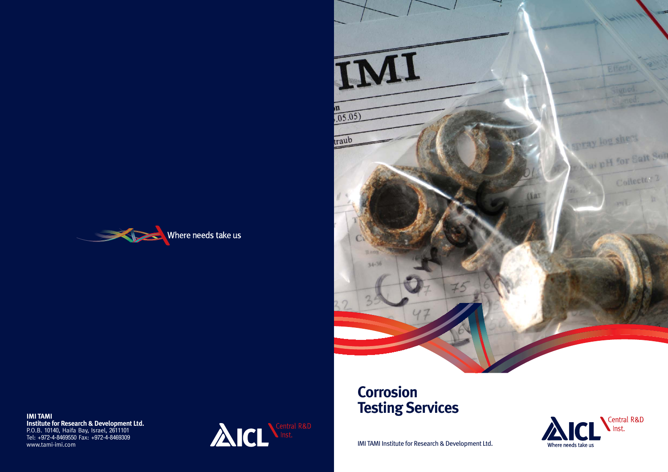IMI TAMI Institute for Research & Development Ltd.



# **Corrosion**



**IMI TAMI**<br>
Institute for Research & Development Ltd.<br>
P.O.B. 10140, Haifa Bay, Israel, 2611101<br>
Tel: +972-4-8469550 Fax: +972-4-8469309<br>
www.tami-imi.com<br>
WW.tami-imi.com<br> **Exercise of ACCLONARES Institute for Research & Development Ltd.** P.O.B. 10140, Haifa Bay, Israel, 2611101 Tel: +972-4-8469550 Fax: +972-4-8469309 www.tami-imi.com